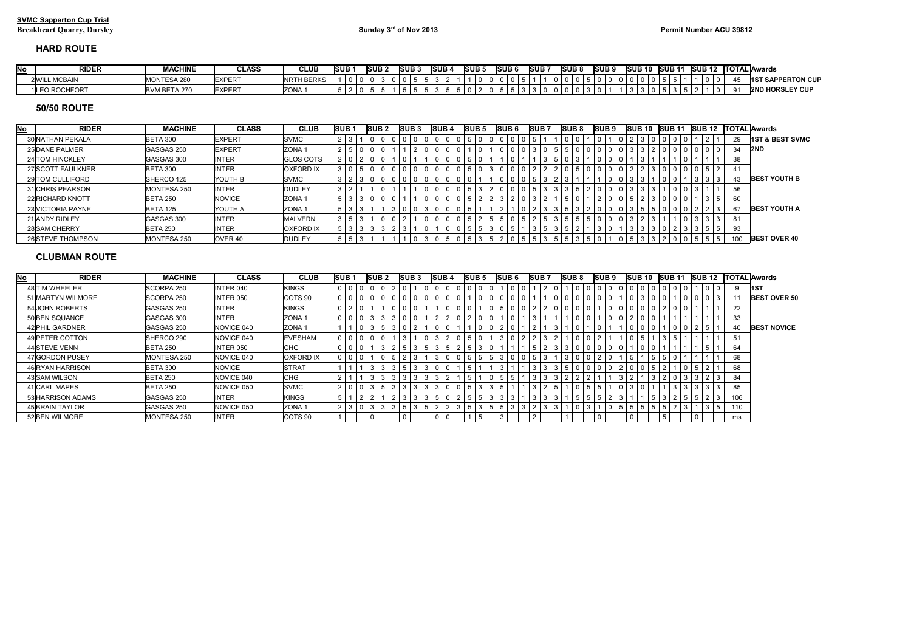## **HARD ROUTE**

| <b>RIDER</b>   | <b>MACHINE</b>           | تLASS         | <b>CLUB</b>       | SUB | <b>ISUB</b> | <b>SUB</b> | ISUB. | ISUB. |  | <b>ISUB</b> | <b>ISUB</b> | <b>ISUB</b> | <b>SUB</b> |  | <b>ISUB 10</b> | <b>SUB 11</b> | <b>ISUB 12</b> |  | <b>ITOTAL lAwards</b>                  |  |
|----------------|--------------------------|---------------|-------------------|-----|-------------|------------|-------|-------|--|-------------|-------------|-------------|------------|--|----------------|---------------|----------------|--|----------------------------------------|--|
| 2 WILL MCBAIN  | MONTESA 280              | <b>EXPERT</b> | <b>NRTH BERKS</b> |     |             |            |       |       |  |             |             |             |            |  |                |               |                |  | <b>PERTON CUP</b><br><b>1ST SAPPEP</b> |  |
| I LEO ROCHFORT | BVM B<br><b>BETA 270</b> | <b>EXPERT</b> | ZONA ·            |     |             |            |       |       |  |             |             |             |            |  |                |               |                |  | <b>2ND HORSLEY CUP</b>                 |  |

## **50/50 ROUTE**

| <u>No</u> | <b>RIDER</b>      | <b>MACHINE</b>  | <b>CLASS</b>       | <b>CLUB</b>       | <b>SUB1</b> | <b>SUB2</b>     |            | <b>ISUB3</b>   |  | <b>SUB4</b>    |                | <b>ISUB 5</b> | <b>SUB6</b> |     | <b>SUB7</b> |                   | <b>SUB8</b> | SUB <sub>9</sub> |                 | <b>SUB 10</b> |  | <b>SUB11</b> |                              |               |     | <b>SUB 12 TOTAL Awards</b> |
|-----------|-------------------|-----------------|--------------------|-------------------|-------------|-----------------|------------|----------------|--|----------------|----------------|---------------|-------------|-----|-------------|-------------------|-------------|------------------|-----------------|---------------|--|--------------|------------------------------|---------------|-----|----------------------------|
|           | 30 NATHAN PEKALA  | <b>BETA 300</b> | <b>EXPERT</b>      | SVMC              |             | $^{\circ}$      |            | 1000000        |  | 0 1 0 1 0      | $\overline{5}$ |               |             |     |             |                   |             |                  |                 |               |  |              | U                            |               | -29 | <b>1ST &amp; BEST SVMC</b> |
|           | 25 DANE PALMER    | GASGAS 250      | <b>EXPERT</b>      | ZONA 1            |             | $\mathbf 0$     | l 0        |                |  | 0 0            |                |               |             |     | 3 0         |                   |             |                  |                 |               |  |              |                              | $0 0 0 0 0 0$ | 34  | <b>2ND</b>                 |
|           | 24 TOM HINCKLEY   | GASGAS 300      | <b>INTER</b>       | <b>GLOS COTS</b>  |             | 0               | $^{\circ}$ |                |  | $\overline{0}$ |                |               |             |     |             |                   |             |                  |                 |               |  |              |                              |               | 38  |                            |
|           | 27 SCOTT FAULKNER | BETA 300        | <b>INTER</b>       | <b>OXFORD IX</b>  |             |                 |            | $0 0 0 0 0 0 $ |  | $\overline{0}$ | $\overline{5}$ |               |             |     |             |                   |             |                  |                 |               |  |              | $\mathbf 0$<br>$^{\circ}$    | 51            |     |                            |
|           | 29 TOM CULLIFORD  | SHERCO 125      | YOUTH B            | SVMC              |             | 3 0 0 0 0 0 0 0 |            |                |  | $0 0 0 0 0$    |                |               |             | l 0 | 15<br>3     |                   |             |                  |                 |               |  |              | ا ک                          |               |     | <b>BEST YOUTH B</b>        |
|           | 31 CHRIS PEARSON  | MONTESA 250     | <b>INTER</b>       | <b>DUDLEY</b>     |             |                 | $\Omega$   |                |  | 0 0 5 3 7      |                |               |             |     | 5           | $\vert 3 \vert 3$ |             |                  |                 |               |  |              | $\mathbf 0$                  |               | 56  |                            |
|           | 22 RICHARD KNOTT  | <b>BETA 250</b> | <b>NOVICE</b>      | ZONA <sub>1</sub> |             |                 |            |                |  | 0 0            | 15             |               |             |     |             |                   |             |                  |                 |               |  |              | $^{\circ}$                   |               | 60  |                            |
|           | 23 VICTORIA PAYNE | <b>BETA 125</b> | YOUTH A            | ZONA <sub>1</sub> |             |                 |            | $3   0   0  $  |  | 0 1 0 1 0      | - 15           |               |             |     |             | $3 \mid 3$        |             |                  | $\vert 3 \vert$ | b.            |  |              | 0 <sup>1</sup>               | 2   2   3     | -67 | <b>BEST YOUTH A</b>        |
|           | 21 ANDY RIDLEY    | GASGAS 300      | <b>INTER</b>       | <b>MALVERN</b>    |             |                 |            |                |  | 0 0            | $3 + 5 + 7$    | $2 \mid 5$    |             |     |             |                   |             |                  |                 |               |  |              | 3 <sup>1</sup><br>$^{\circ}$ |               | 81  |                            |
|           | 28 SAM CHERRY     | <b>BETA 250</b> | <b>INTER</b>       | <b>OXFORD IX</b>  |             |                 |            |                |  | l 0            | $\overline{5}$ |               |             |     |             |                   |             |                  |                 |               |  |              |                              |               | 93  |                            |
|           | 26 STEVE THOMPSON | MONTESA 250     | OVER <sub>40</sub> | <b>DUDLEY</b>     |             |                 |            |                |  |                |                |               |             |     |             |                   |             |                  |                 |               |  |              | $^{\circ}$<br>b.             |               |     | <b>BEST OVER 40</b>        |

## **CLUBMAN ROUTE**

| <u>No</u> | <b>RIDER</b>      | <b>MACHINE</b>     | <b>CLASS</b>     | <b>CLUB</b>        | SUB <sub>1</sub> |         | <b>SUB2</b> |                |                       | <b>SUB3</b>                                                           |                 | <b>ISUB 4</b> |                        |    | <b>SUB 5</b> |   |                               |            | <b>SUB6</b> |  | <b>SUB7</b> |   | <b>SUB8</b> |              | <b>SUB 9</b>  |             |              | ISUB 10 ISUB 11 |                |  |                   | <b>ISUB 12</b> |                     |  | <b>TOTAL</b> Awards |
|-----------|-------------------|--------------------|------------------|--------------------|------------------|---------|-------------|----------------|-----------------------|-----------------------------------------------------------------------|-----------------|---------------|------------------------|----|--------------|---|-------------------------------|------------|-------------|--|-------------|---|-------------|--------------|---------------|-------------|--------------|-----------------|----------------|--|-------------------|----------------|---------------------|--|---------------------|
|           | 48 TIM WHEELER    | SCORPA 250         | INTER 040        | KINGS              |                  |         |             |                | 0                     |                                                                       | - 0             |               | 1 O                    |    |              |   | $\overline{0}$                |            |             |  |             |   |             | $\mathbf{0}$ | $0$ 0         |             |              | l 0             | $\overline{0}$ |  |                   |                | 11ST                |  |                     |
|           | 51 MARTYN WILMORE | SCORPA 250         | <b>INTER 050</b> | COTS 90            |                  |         |             |                |                       | $\begin{array}{c c c c c c c} \hline 0 & 0 & 0 \\ \hline \end{array}$ |                 |               | $\overline{0}$         |    | l 0          |   | 0   0                         |            |             |  |             |   |             | $\mathbf{0}$ |               | $\mathbf 0$ |              |                 |                |  |                   |                | <b>BEST OVER 50</b> |  |                     |
|           | 54 JOHN ROBERTS   | GASGAS 250         | <b>INTER</b>     | KINGS              |                  |         |             |                | $\mathbf 0$           | 0 <sup>1</sup>                                                        |                 |               | $\overline{0}$         |    |              |   | -5                            |            | 0   0   2   |  |             |   |             |              | $0   0   0  $ |             | $\mathbf{0}$ |                 |                |  |                   | 22             |                     |  |                     |
|           | 50 BEN SQUANCE    | GASGAS 300         | <b>INTER</b>     | ZONA <sub>1</sub>  |                  |         | 3           |                | 3 0 0                 |                                                                       |                 |               | 2 2 0                  |    | 2 0          |   |                               | $^{\circ}$ |             |  |             |   |             | $\mathbf{0}$ | $0$  2        |             |              |                 |                |  |                   | 33             |                     |  |                     |
|           | 42 PHIL GARDNER   | GASGAS 250         | NOVICE 040       | ZONA <sub>1</sub>  |                  |         |             |                | 3 0                   |                                                                       |                 |               |                        |    | l 0          |   | 2 0                           |            |             |  |             |   |             |              |               |             |              |                 | ∣0             |  | $.5$   $^{\circ}$ | 40             | <b>BEST NOVICE</b>  |  |                     |
|           | 49 PETER COTTON   | SHERCO 290         | NOVICE 040       | <b>EVESHAM</b>     |                  |         |             |                |                       |                                                                       |                 |               | 2 0                    |    |              |   | $\overline{\phantom{0}}$<br>3 |            |             |  |             |   |             |              |               |             |              |                 |                |  |                   | 51             |                     |  |                     |
|           | 44 STEVE VENN     | BETA 250           | <b>INTER 050</b> | CHG                |                  |         |             |                | 5                     |                                                                       | $3 \mid 5$      | 3 I           | l 5<br>$\vert 2 \vert$ | -5 | l 3          |   |                               |            |             |  |             |   |             | $\mathbf{0}$ | $\mathbf{0}$  |             |              |                 |                |  |                   | 64             |                     |  |                     |
|           | 47 GORDON PUSEY   | <b>MONTESA 250</b> | NOVICE 040       | <b>OXFORD IX</b>   |                  |         |             |                |                       |                                                                       |                 |               | $\overline{0}$         |    | 1515         |   | 3 0                           | - 0        |             |  |             |   |             | $\mathbf 0$  |               |             |              |                 |                |  |                   | 68             |                     |  |                     |
|           | 46 RYAN HARRISON  | <b>BETA 300</b>    | <b>NOVICE</b>    | <b>STRAT</b>       |                  |         |             |                | 5 <sup>1</sup>        |                                                                       | 3 3             |               |                        | -5 |              |   | 3 I                           |            | 3           |  |             |   |             | $\mathbf{0}$ | 2 0           |             |              |                 |                |  |                   | 68             |                     |  |                     |
|           | 43 SAM WILSON     | <b>BETA 250</b>    | NOVICE 040       | CHG                |                  |         |             |                | 3 <sup>1</sup>        |                                                                       |                 |               |                        | b  |              |   | l 5                           |            |             |  |             |   |             |              |               |             |              |                 |                |  |                   | 84             |                     |  |                     |
|           | 41 CARL MAPES     | BETA 250           | NOVICE 050       | <b>SVMC</b>        |                  |         | 3           | 5 <sub>1</sub> | 3 <sup>1</sup><br>3 I |                                                                       | $3 \mid 3 \mid$ |               | 3 0 0                  |    | 1513         |   | 5 <sup>1</sup>                |            |             |  |             |   | b           |              | $\mathbf{0}$  |             |              |                 | 3              |  | $3 \mid 3$        | 85             |                     |  |                     |
|           | 53 HARRISON ADAMS | GASGAS 250         | <b>INTER</b>     | <b>KINGS</b>       |                  |         |             |                |                       |                                                                       |                 |               | l 2                    | -5 | - 15         |   | $3 \mid 3$                    |            |             |  |             |   |             |              |               |             |              |                 |                |  |                   | 106            |                     |  |                     |
|           | 45 BRAIN TAYLOR   | GASGAS 250         | NOVICE 050       | ZONA <sub>1</sub>  |                  | 2 3 0 3 |             |                | 5 <br>3 <sup>1</sup>  |                                                                       | $3 \mid 5$      | $2 \mid 2$    | l 3                    |    | 5 3          | b | $\vert 5 \vert 3 \vert$       |            | 3 2         |  |             | 3 |             | $\mathbf{0}$ | $5 \mid 5$    |             | 5            | l 5             |                |  | $3 \mid 5$        | 110            |                     |  |                     |
|           | 52 BEN WILMORE    | <b>MONTESA 250</b> | <b>INTER</b>     | COTS <sub>90</sub> |                  |         |             |                |                       |                                                                       |                 |               |                        |    |              |   |                               |            |             |  |             |   |             |              |               |             |              |                 |                |  |                   | ms             |                     |  |                     |